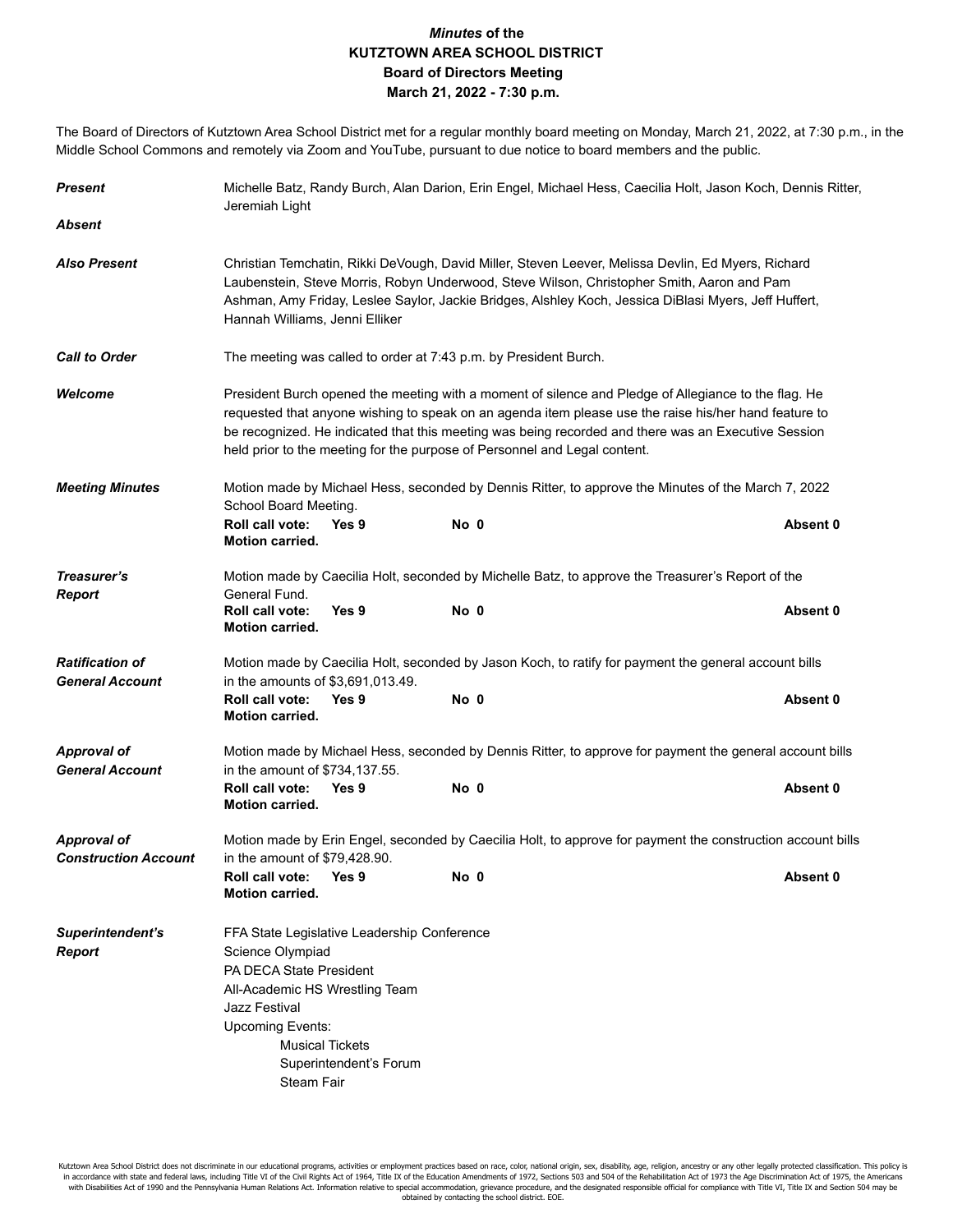## *Minutes* **of the KUTZTOWN AREA SCHOOL DISTRICT Board of Directors Meeting March 21, 2022 - 7:30 p.m.**

The Board of Directors of Kutztown Area School District met for a regular monthly board meeting on Monday, March 21, 2022, at 7:30 p.m., in the Middle School Commons and remotely via Zoom and YouTube, pursuant to due notice to board members and the public.

| <b>Present</b>                                    | Michelle Batz, Randy Burch, Alan Darion, Erin Engel, Michael Hess, Caecilia Holt, Jason Koch, Dennis Ritter,<br>Jeremiah Light                                                                                                                                                                                                                                                                    |                                                  |      |                                                                                                   |          |  |  |  |
|---------------------------------------------------|---------------------------------------------------------------------------------------------------------------------------------------------------------------------------------------------------------------------------------------------------------------------------------------------------------------------------------------------------------------------------------------------------|--------------------------------------------------|------|---------------------------------------------------------------------------------------------------|----------|--|--|--|
| <b>Absent</b>                                     |                                                                                                                                                                                                                                                                                                                                                                                                   |                                                  |      |                                                                                                   |          |  |  |  |
| <b>Also Present</b>                               | Christian Temchatin, Rikki DeVough, David Miller, Steven Leever, Melissa Devlin, Ed Myers, Richard<br>Laubenstein, Steve Morris, Robyn Underwood, Steve Wilson, Christopher Smith, Aaron and Pam<br>Ashman, Amy Friday, Leslee Saylor, Jackie Bridges, Alshley Koch, Jessica DiBlasi Myers, Jeff Huffert,<br>Hannah Williams, Jenni Elliker                                                       |                                                  |      |                                                                                                   |          |  |  |  |
| <b>Call to Order</b>                              | The meeting was called to order at 7:43 p.m. by President Burch.                                                                                                                                                                                                                                                                                                                                  |                                                  |      |                                                                                                   |          |  |  |  |
| Welcome                                           | President Burch opened the meeting with a moment of silence and Pledge of Allegiance to the flag. He<br>requested that anyone wishing to speak on an agenda item please use the raise his/her hand feature to<br>be recognized. He indicated that this meeting was being recorded and there was an Executive Session<br>held prior to the meeting for the purpose of Personnel and Legal content. |                                                  |      |                                                                                                   |          |  |  |  |
| <b>Meeting Minutes</b>                            | Motion made by Michael Hess, seconded by Dennis Ritter, to approve the Minutes of the March 7, 2022<br>School Board Meeting.                                                                                                                                                                                                                                                                      |                                                  |      |                                                                                                   |          |  |  |  |
|                                                   | Roll call vote:<br>Motion carried.                                                                                                                                                                                                                                                                                                                                                                | Yes 9                                            | No 0 |                                                                                                   | Absent 0 |  |  |  |
| Treasurer's<br><b>Report</b>                      | General Fund.<br>Roll call vote:<br><b>Motion carried.</b>                                                                                                                                                                                                                                                                                                                                        | Yes 9                                            | No 0 | Motion made by Caecilia Holt, seconded by Michelle Batz, to approve the Treasurer's Report of the | Absent 0 |  |  |  |
| <b>Ratification of</b><br><b>General Account</b>  | Motion made by Caecilia Holt, seconded by Jason Koch, to ratify for payment the general account bills<br>in the amounts of \$3,691,013.49.                                                                                                                                                                                                                                                        |                                                  |      |                                                                                                   |          |  |  |  |
|                                                   | Roll call vote:<br><b>Motion carried.</b>                                                                                                                                                                                                                                                                                                                                                         | Yes 9                                            | No 0 |                                                                                                   | Absent 0 |  |  |  |
| <b>Approval of</b><br><b>General Account</b>      | Motion made by Michael Hess, seconded by Dennis Ritter, to approve for payment the general account bills<br>in the amount of \$734,137.55.                                                                                                                                                                                                                                                        |                                                  |      |                                                                                                   |          |  |  |  |
|                                                   | <b>Roll call vote:</b><br><b>Motion carried.</b>                                                                                                                                                                                                                                                                                                                                                  | Yes 9                                            | No 0 |                                                                                                   | Absent 0 |  |  |  |
| <b>Approval of</b><br><b>Construction Account</b> | Motion made by Erin Engel, seconded by Caecilia Holt, to approve for payment the construction account bills<br>in the amount of \$79,428.90.<br>Roll call vote:<br>Yes 9<br>No 0<br>Absent 0                                                                                                                                                                                                      |                                                  |      |                                                                                                   |          |  |  |  |
|                                                   | <b>Motion carried.</b>                                                                                                                                                                                                                                                                                                                                                                            |                                                  |      |                                                                                                   |          |  |  |  |
| Superintendent's<br><b>Report</b>                 | FFA State Legislative Leadership Conference<br>Science Olympiad<br>PA DECA State President<br>All-Academic HS Wrestling Team<br>Jazz Festival<br><b>Upcoming Events:</b><br>Steam Fair                                                                                                                                                                                                            | <b>Musical Tickets</b><br>Superintendent's Forum |      |                                                                                                   |          |  |  |  |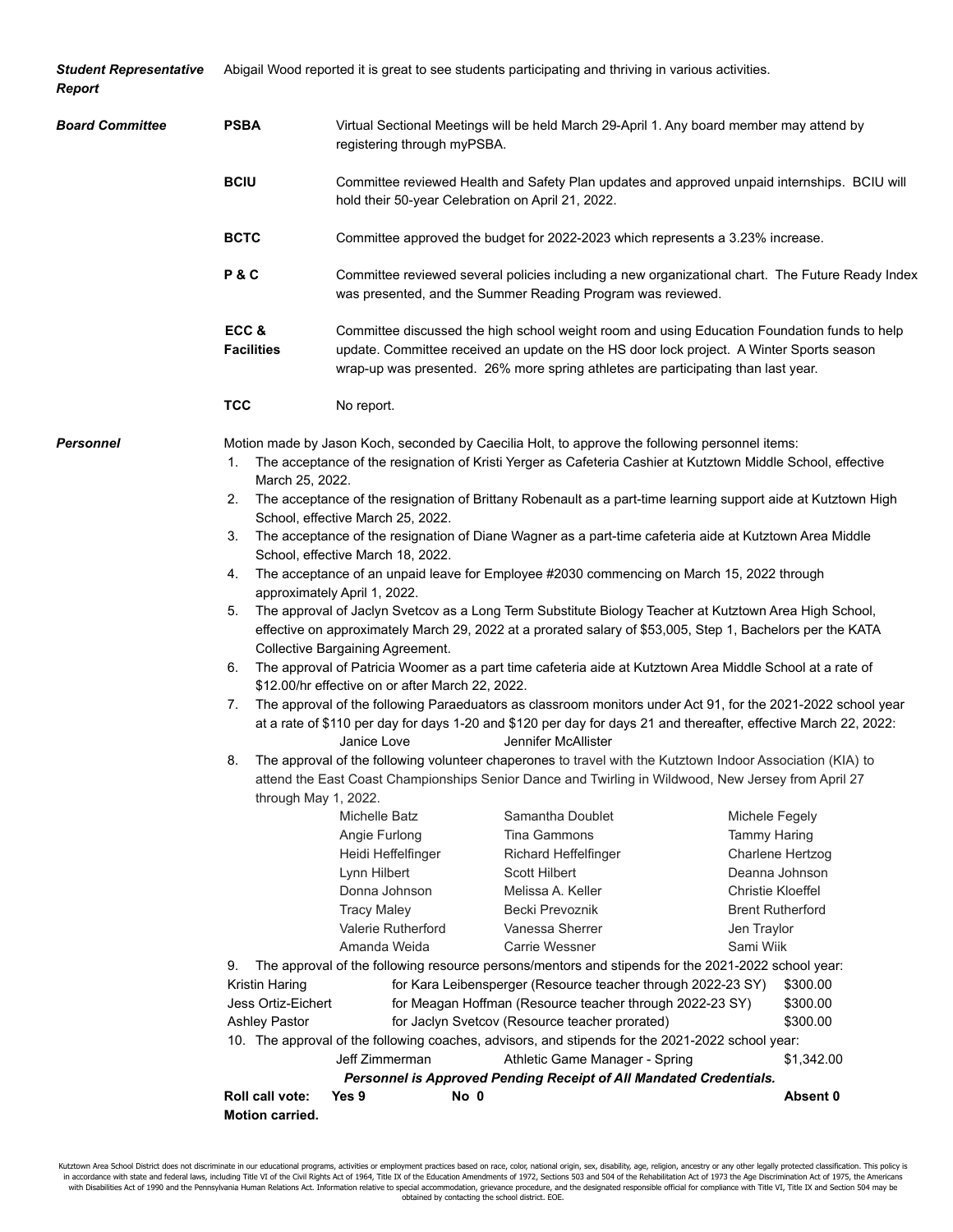| <b>Student Representative</b><br>Report | Abigail Wood reported it is great to see students participating and thriving in various activities.                                                                                                        |                                                                                                                                                                                                                                                                                                                                                                                                                                                                                                                                                                                                                                                                                                                                                                                                                                                                                                                                                                                                                                                                                                                                                                                                                                                                                                                                                                                                                                                                                                                                                                                                                                                                                                                                                                                                                                                                                                                                                                                                                                                                                                                                                                                                                                                                                                                                                                                                                                                                                                                                                                                                                                                                                |  |  |  |  |
|-----------------------------------------|------------------------------------------------------------------------------------------------------------------------------------------------------------------------------------------------------------|--------------------------------------------------------------------------------------------------------------------------------------------------------------------------------------------------------------------------------------------------------------------------------------------------------------------------------------------------------------------------------------------------------------------------------------------------------------------------------------------------------------------------------------------------------------------------------------------------------------------------------------------------------------------------------------------------------------------------------------------------------------------------------------------------------------------------------------------------------------------------------------------------------------------------------------------------------------------------------------------------------------------------------------------------------------------------------------------------------------------------------------------------------------------------------------------------------------------------------------------------------------------------------------------------------------------------------------------------------------------------------------------------------------------------------------------------------------------------------------------------------------------------------------------------------------------------------------------------------------------------------------------------------------------------------------------------------------------------------------------------------------------------------------------------------------------------------------------------------------------------------------------------------------------------------------------------------------------------------------------------------------------------------------------------------------------------------------------------------------------------------------------------------------------------------------------------------------------------------------------------------------------------------------------------------------------------------------------------------------------------------------------------------------------------------------------------------------------------------------------------------------------------------------------------------------------------------------------------------------------------------------------------------------------------------|--|--|--|--|
| <b>Board Committee</b>                  | <b>PSBA</b>                                                                                                                                                                                                | Virtual Sectional Meetings will be held March 29-April 1. Any board member may attend by<br>registering through myPSBA.                                                                                                                                                                                                                                                                                                                                                                                                                                                                                                                                                                                                                                                                                                                                                                                                                                                                                                                                                                                                                                                                                                                                                                                                                                                                                                                                                                                                                                                                                                                                                                                                                                                                                                                                                                                                                                                                                                                                                                                                                                                                                                                                                                                                                                                                                                                                                                                                                                                                                                                                                        |  |  |  |  |
|                                         | <b>BCIU</b>                                                                                                                                                                                                | Committee reviewed Health and Safety Plan updates and approved unpaid internships. BCIU will<br>hold their 50-year Celebration on April 21, 2022.                                                                                                                                                                                                                                                                                                                                                                                                                                                                                                                                                                                                                                                                                                                                                                                                                                                                                                                                                                                                                                                                                                                                                                                                                                                                                                                                                                                                                                                                                                                                                                                                                                                                                                                                                                                                                                                                                                                                                                                                                                                                                                                                                                                                                                                                                                                                                                                                                                                                                                                              |  |  |  |  |
|                                         | <b>BCTC</b>                                                                                                                                                                                                | Committee approved the budget for 2022-2023 which represents a 3.23% increase.<br>Committee reviewed several policies including a new organizational chart. The Future Ready Index<br>was presented, and the Summer Reading Program was reviewed.<br>Committee discussed the high school weight room and using Education Foundation funds to help<br>update. Committee received an update on the HS door lock project. A Winter Sports season<br>wrap-up was presented. 26% more spring athletes are participating than last year.                                                                                                                                                                                                                                                                                                                                                                                                                                                                                                                                                                                                                                                                                                                                                                                                                                                                                                                                                                                                                                                                                                                                                                                                                                                                                                                                                                                                                                                                                                                                                                                                                                                                                                                                                                                                                                                                                                                                                                                                                                                                                                                                             |  |  |  |  |
|                                         | P&C                                                                                                                                                                                                        |                                                                                                                                                                                                                                                                                                                                                                                                                                                                                                                                                                                                                                                                                                                                                                                                                                                                                                                                                                                                                                                                                                                                                                                                                                                                                                                                                                                                                                                                                                                                                                                                                                                                                                                                                                                                                                                                                                                                                                                                                                                                                                                                                                                                                                                                                                                                                                                                                                                                                                                                                                                                                                                                                |  |  |  |  |
|                                         | ECC&<br><b>Facilities</b>                                                                                                                                                                                  |                                                                                                                                                                                                                                                                                                                                                                                                                                                                                                                                                                                                                                                                                                                                                                                                                                                                                                                                                                                                                                                                                                                                                                                                                                                                                                                                                                                                                                                                                                                                                                                                                                                                                                                                                                                                                                                                                                                                                                                                                                                                                                                                                                                                                                                                                                                                                                                                                                                                                                                                                                                                                                                                                |  |  |  |  |
|                                         | <b>TCC</b>                                                                                                                                                                                                 | No report.                                                                                                                                                                                                                                                                                                                                                                                                                                                                                                                                                                                                                                                                                                                                                                                                                                                                                                                                                                                                                                                                                                                                                                                                                                                                                                                                                                                                                                                                                                                                                                                                                                                                                                                                                                                                                                                                                                                                                                                                                                                                                                                                                                                                                                                                                                                                                                                                                                                                                                                                                                                                                                                                     |  |  |  |  |
| Personnel                               | 1.<br>March 25, 2022.<br>2.<br>3.<br>4.<br>5.<br>6.<br>7.<br>8.<br>through May 1, 2022.<br>9.<br>Kristin Haring<br>Jess Ortiz-Eichert<br><b>Ashley Pastor</b><br>Roll call vote:<br><b>Motion carried.</b> | Motion made by Jason Koch, seconded by Caecilia Holt, to approve the following personnel items:<br>The acceptance of the resignation of Kristi Yerger as Cafeteria Cashier at Kutztown Middle School, effective<br>The acceptance of the resignation of Brittany Robenault as a part-time learning support aide at Kutztown High<br>School, effective March 25, 2022.<br>The acceptance of the resignation of Diane Wagner as a part-time cafeteria aide at Kutztown Area Middle<br>School, effective March 18, 2022.<br>The acceptance of an unpaid leave for Employee #2030 commencing on March 15, 2022 through<br>approximately April 1, 2022.<br>The approval of Jaclyn Svetcov as a Long Term Substitute Biology Teacher at Kutztown Area High School,<br>effective on approximately March 29, 2022 at a prorated salary of \$53,005, Step 1, Bachelors per the KATA<br><b>Collective Bargaining Agreement.</b><br>The approval of Patricia Woomer as a part time cafeteria aide at Kutztown Area Middle School at a rate of<br>\$12.00/hr effective on or after March 22, 2022.<br>The approval of the following Paraeduators as classroom monitors under Act 91, for the 2021-2022 school year<br>at a rate of \$110 per day for days 1-20 and \$120 per day for days 21 and thereafter, effective March 22, 2022:<br>Jennifer McAllister<br>Janice Love<br>The approval of the following volunteer chaperones to travel with the Kutztown Indoor Association (KIA) to<br>attend the East Coast Championships Senior Dance and Twirling in Wildwood, New Jersey from April 27<br>Samantha Doublet<br>Michelle Batz<br>Michele Fegely<br>Angie Furlong<br>Tina Gammons<br><b>Tammy Haring</b><br>Heidi Heffelfinger<br><b>Richard Heffelfinger</b><br>Charlene Hertzog<br>Deanna Johnson<br>Lynn Hilbert<br>Scott Hilbert<br>Donna Johnson<br>Melissa A. Keller<br><b>Christie Kloeffel</b><br><b>Tracy Maley</b><br>Becki Prevoznik<br><b>Brent Rutherford</b><br>Valerie Rutherford<br>Vanessa Sherrer<br>Jen Traylor<br>Amanda Weida<br>Carrie Wessner<br>Sami Wiik<br>The approval of the following resource persons/mentors and stipends for the 2021-2022 school year:<br>for Kara Leibensperger (Resource teacher through 2022-23 SY)<br>\$300.00<br>for Meagan Hoffman (Resource teacher through 2022-23 SY)<br>\$300.00<br>for Jaclyn Svetcov (Resource teacher prorated)<br>\$300.00<br>10. The approval of the following coaches, advisors, and stipends for the 2021-2022 school year:<br>Jeff Zimmerman<br>Athletic Game Manager - Spring<br>\$1,342.00<br>Personnel is Approved Pending Receipt of All Mandated Credentials.<br>Absent 0<br>Yes 9<br>No 0 |  |  |  |  |

Kutztown Area School District does not discriminate in our educational programs, activities or employment practices based on race, color, national origin, sex, disability, age, religion, ancestry or any other legally prote